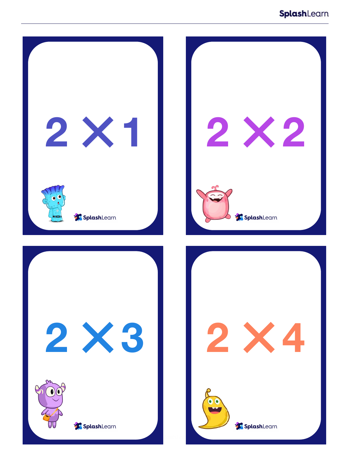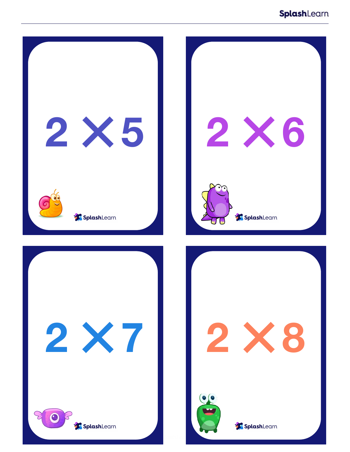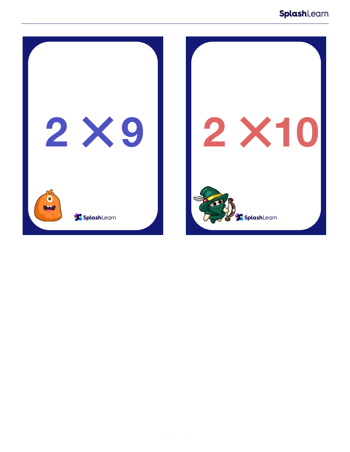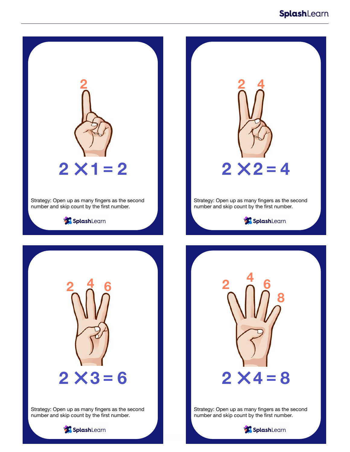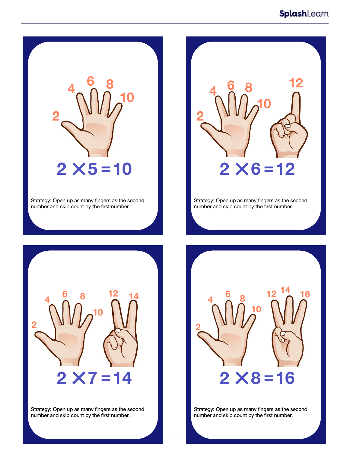

Strategy: Open up as many fingers as the second number and skip count by the first number.



Strategy: Open up as many fingers as the second number and skip count by the first number.



Strategy: Open up as many fingers as the second number and skip count by the first number.



Strategy: Open up as many fingers as the second number and skip count by the first number.